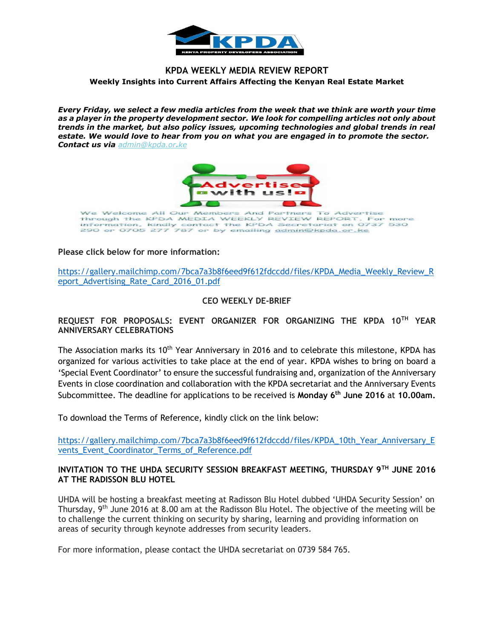

# **KPDA WEEKLY MEDIA REVIEW REPORT Weekly Insights into Current Affairs Affecting the Kenyan Real Estate Market**

*Every Friday, we select a few media articles from the week that we think are worth your time as a player in the property development sector. We look for compelling articles not only about trends in the market, but also policy issues, upcoming technologies and global trends in real estate. We would love to hear from you on what you are engaged in to promote the sector. Contact us via [admin@kpda.or](mailto:admin@kpda.or.ke).ke*



## **Please click below for more information:**

[https://gallery.mailchimp.com/7bca7a3b8f6eed9f612fdccdd/files/KPDA\\_Media\\_Weekly\\_Review\\_R](https://gallery.mailchimp.com/7bca7a3b8f6eed9f612fdccdd/files/KPDA_Media_Weekly_Review_Report_Advertising_Rate_Card_2016_01.pdf) [eport\\_Advertising\\_Rate\\_Card\\_2016\\_01.pdf](https://gallery.mailchimp.com/7bca7a3b8f6eed9f612fdccdd/files/KPDA_Media_Weekly_Review_Report_Advertising_Rate_Card_2016_01.pdf)

## **CEO WEEKLY DE-BRIEF**

**REQUEST FOR PROPOSALS: EVENT ORGANIZER FOR ORGANIZING THE KPDA 10TH YEAR ANNIVERSARY CELEBRATIONS**

The Association marks its 10<sup>th</sup> Year Anniversary in 2016 and to celebrate this milestone, KPDA has organized for various activities to take place at the end of year. KPDA wishes to bring on board a 'Special Event Coordinator' to ensure the successful fundraising and, organization of the Anniversary Events in close coordination and collaboration with the KPDA secretariat and the Anniversary Events Subcommittee. The deadline for applications to be received is **Monday 6th June 2016** at **10.00am.**

To download the Terms of Reference, kindly click on the link below:

[https://gallery.mailchimp.com/7bca7a3b8f6eed9f612fdccdd/files/KPDA\\_10th\\_Year\\_Anniversary\\_E](https://gallery.mailchimp.com/7bca7a3b8f6eed9f612fdccdd/files/KPDA_10th_Year_Anniversary_Events_Event_Coordinator_Terms_of_Reference.pdf) vents Event Coordinator Terms of Reference.pdf

## **INVITATION TO THE UHDA SECURITY SESSION BREAKFAST MEETING, THURSDAY 9TH JUNE 2016 AT THE RADISSON BLU HOTEL**

UHDA will be hosting a breakfast meeting at Radisson Blu Hotel dubbed 'UHDA Security Session' on Thursday,  $9<sup>th</sup>$  June 2016 at 8.00 am at the Radisson Blu Hotel. The objective of the meeting will be to challenge the current thinking on security by sharing, learning and providing information on areas of security through keynote addresses from security leaders.

For more information, please contact the UHDA secretariat on 0739 584 765.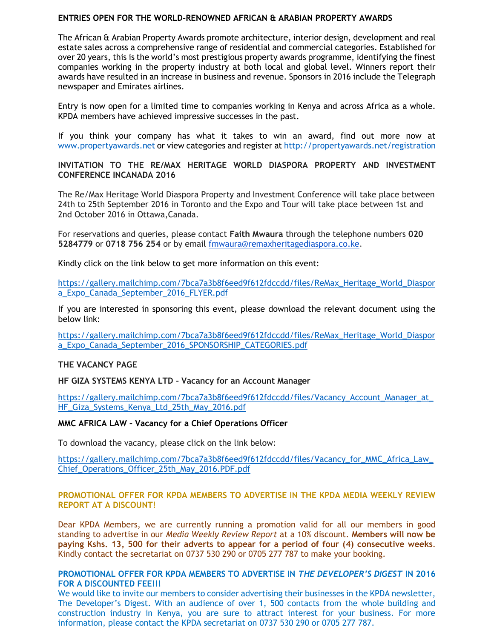## **ENTRIES OPEN FOR THE WORLD-RENOWNED AFRICAN & ARABIAN PROPERTY AWARDS**

The African & Arabian Property Awards promote architecture, interior design, development and real estate sales across a comprehensive range of residential and commercial categories. Established for over 20 years, this is the world's most prestigious property awards programme, identifying the finest companies working in the property industry at both local and global level. Winners report their awards have resulted in an increase in business and revenue. Sponsors in 2016 include the Telegraph newspaper and Emirates airlines.

Entry is now open for a limited time to companies working in Kenya and across Africa as a whole. KPDA members have achieved impressive successes in the past.

If you think your company has what it takes to win an award, find out more now at [www.propertyawards.net](http://www.propertyawards.net/) or view categories and register at<http://propertyawards.net/registration>

# **INVITATION TO THE RE/MAX HERITAGE WORLD DIASPORA PROPERTY AND INVESTMENT CONFERENCE INCANADA 2016**

The Re/Max Heritage World Diaspora Property and Investment Conference will take place between 24th to 25th September 2016 in Toronto and the Expo and Tour will take place between 1st and 2nd October 2016 in Ottawa,Canada.

For reservations and queries, please contact **Faith Mwaura** through the telephone numbers **020 5284779** or **0718 756 254** or by email [fmwaura@remaxheritagediaspora.co.ke.](mailto:fmwaura@remaxheritagediaspora.co.ke)

Kindly click on the link below to get more information on this event:

[https://gallery.mailchimp.com/7bca7a3b8f6eed9f612fdccdd/files/ReMax\\_Heritage\\_World\\_Diaspor](https://gallery.mailchimp.com/7bca7a3b8f6eed9f612fdccdd/files/ReMax_Heritage_World_Diaspora_Expo_Canada_September_2016_FLYER.pdf) [a\\_Expo\\_Canada\\_September\\_2016\\_FLYER.pdf](https://gallery.mailchimp.com/7bca7a3b8f6eed9f612fdccdd/files/ReMax_Heritage_World_Diaspora_Expo_Canada_September_2016_FLYER.pdf)

If you are interested in sponsoring this event, please download the relevant document using the below link:

[https://gallery.mailchimp.com/7bca7a3b8f6eed9f612fdccdd/files/ReMax\\_Heritage\\_World\\_Diaspor](https://gallery.mailchimp.com/7bca7a3b8f6eed9f612fdccdd/files/ReMax_Heritage_World_Diaspora_Expo_Canada_September_2016_SPONSORSHIP_CATEGORIES.pdf) [a\\_Expo\\_Canada\\_September\\_2016\\_SPONSORSHIP\\_CATEGORIES.pdf](https://gallery.mailchimp.com/7bca7a3b8f6eed9f612fdccdd/files/ReMax_Heritage_World_Diaspora_Expo_Canada_September_2016_SPONSORSHIP_CATEGORIES.pdf)

## **THE VACANCY PAGE**

**HF GIZA SYSTEMS KENYA LTD - Vacancy for an Account Manager**

https://gallery.mailchimp.com/7bca7a3b8f6eed9f612fdccdd/files/Vacancy\_Account\_Manager\_at [HF\\_Giza\\_Systems\\_Kenya\\_Ltd\\_25th\\_May\\_2016.pdf](https://gallery.mailchimp.com/7bca7a3b8f6eed9f612fdccdd/files/Vacancy_Account_Manager_at_HF_Giza_Systems_Kenya_Ltd_25th_May_2016.pdf)

#### **MMC AFRICA LAW – Vacancy for a Chief Operations Officer**

To download the vacancy, please click on the link below:

https://gallery.mailchimp.com/7bca7a3b8f6eed9f612fdccdd/files/Vacancy\_for\_MMC\_Africa\_Law [Chief\\_Operations\\_Officer\\_25th\\_May\\_2016.PDF.pdf](https://gallery.mailchimp.com/7bca7a3b8f6eed9f612fdccdd/files/Vacancy_for_MMC_Africa_Law_Chief_Operations_Officer_25th_May_2016.PDF.pdf)

#### **PROMOTIONAL OFFER FOR KPDA MEMBERS TO ADVERTISE IN THE KPDA MEDIA WEEKLY REVIEW REPORT AT A DISCOUNT!**

Dear KPDA Members, we are currently running a promotion valid for all our members in good standing to advertise in our *Media Weekly Review Report* at a 10% discount. **Members will now be paying Kshs. 13, 500 for their adverts to appear for a period of four (4) consecutive weeks**. Kindly contact the secretariat on 0737 530 290 or 0705 277 787 to make your booking.

#### **PROMOTIONAL OFFER FOR KPDA MEMBERS TO ADVERTISE IN** *THE DEVELOPER'S DIGEST* **IN 2016 FOR A DISCOUNTED FEE!!!**

We would like to invite our members to consider advertising their businesses in the KPDA newsletter, The Developer's Digest. With an audience of over 1, 500 contacts from the whole building and construction industry in Kenya, you are sure to attract interest for your business. For more information, please contact the KPDA secretariat on 0737 530 290 or 0705 277 787.